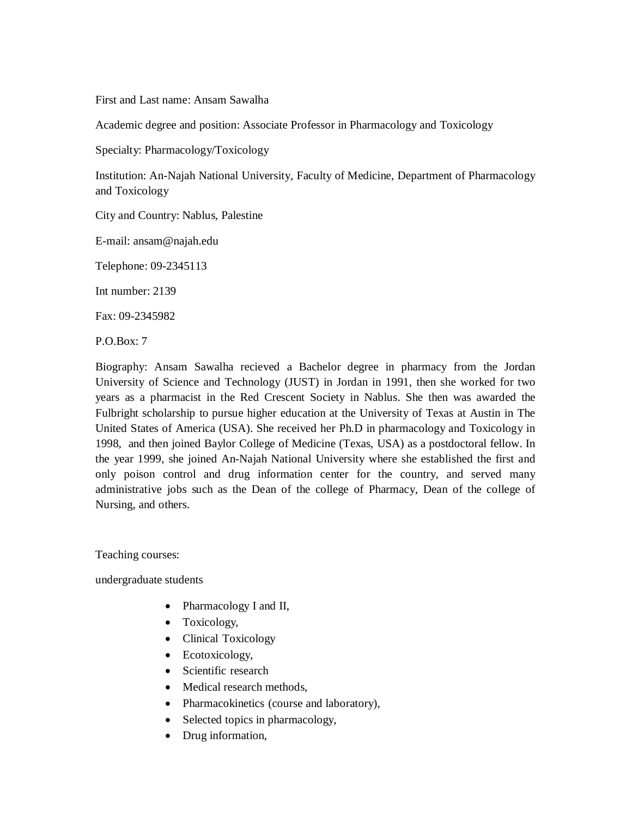First and Last name: Ansam Sawalha

Academic degree and position: Associate Professor in Pharmacology and Toxicology

Specialty: Pharmacology/Toxicology

Institution: An-Najah National University, Faculty of Medicine, Department of Pharmacology and Toxicology

City and Country: Nablus, Palestine

E-mail: ansam@najah.edu

Telephone: 09-2345113

Int number: 2139

Fax: 09-2345982

P.O.Box: 7

Biography: Ansam Sawalha recieved a Bachelor degree in pharmacy from the Jordan University of Science and Technology (JUST) in Jordan in 1991, then she worked for two years as a pharmacist in the Red Crescent Society in Nablus. She then was awarded the Fulbright scholarship to pursue higher education at the University of Texas at Austin in The United States of America (USA). She received her Ph.D in pharmacology and Toxicology in 1998, and then joined Baylor College of Medicine (Texas, USA) as a postdoctoral fellow. In the year 1999, she joined An-Najah National University where she established the first and only poison control and drug information center for the country, and served many administrative jobs such as the Dean of the college of Pharmacy, Dean of the college of Nursing, and others.

Teaching courses:

undergraduate students

- Pharmacology I and II,
- Toxicology,
- Clinical Toxicology
- Ecotoxicology,
- Scientific research
- Medical research methods,
- · Pharmacokinetics (course and laboratory),
- Selected topics in pharmacology,
- Drug information,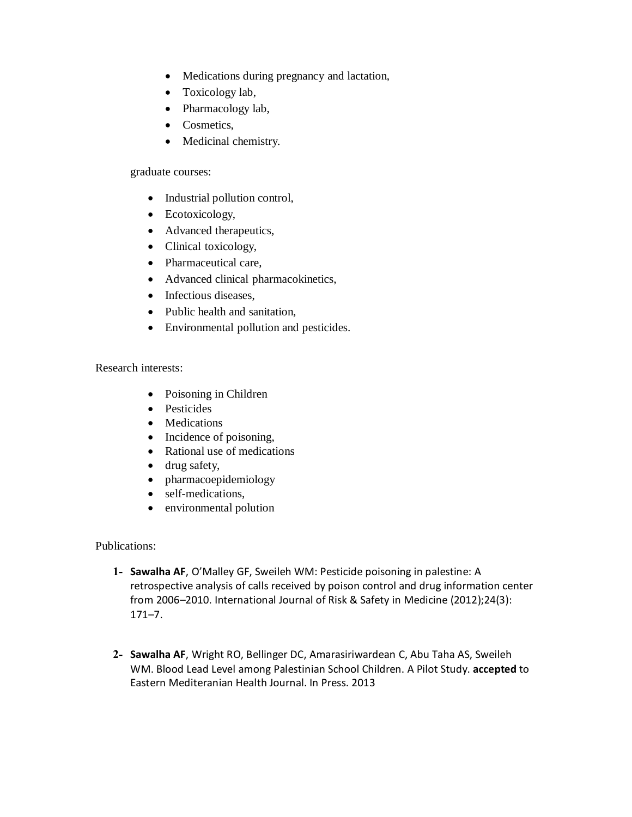- · Medications during pregnancy and lactation,
- Toxicology lab,
- Pharmacology lab,
- Cosmetics,
- · Medicinal chemistry.

graduate courses:

- Industrial pollution control,
- Ecotoxicology,
- Advanced therapeutics,
- Clinical toxicology,
- Pharmaceutical care,
- · Advanced clinical pharmacokinetics,
- Infectious diseases,
- Public health and sanitation,
- · Environmental pollution and pesticides.

Research interests:

- Poisoning in Children
- Pesticides
- Medications
- Incidence of poisoning,
- · Rational use of medications
- · drug safety,
- · pharmacoepidemiology
- self-medications,
- environmental polution

## Publications:

- **1- Sawalha AF**, O'Malley GF, Sweileh WM: Pesticide poisoning in palestine: A retrospective analysis of calls received by poison control and drug information center from 2006–2010. International Journal of Risk & Safety in Medicine (2012);24(3): 171–7.
- **2- Sawalha AF**, Wright RO, Bellinger DC, Amarasiriwardean C, Abu Taha AS, Sweileh WM. Blood Lead Level among Palestinian School Children. A Pilot Study. **accepted** to Eastern Mediteranian Health Journal. In Press. 2013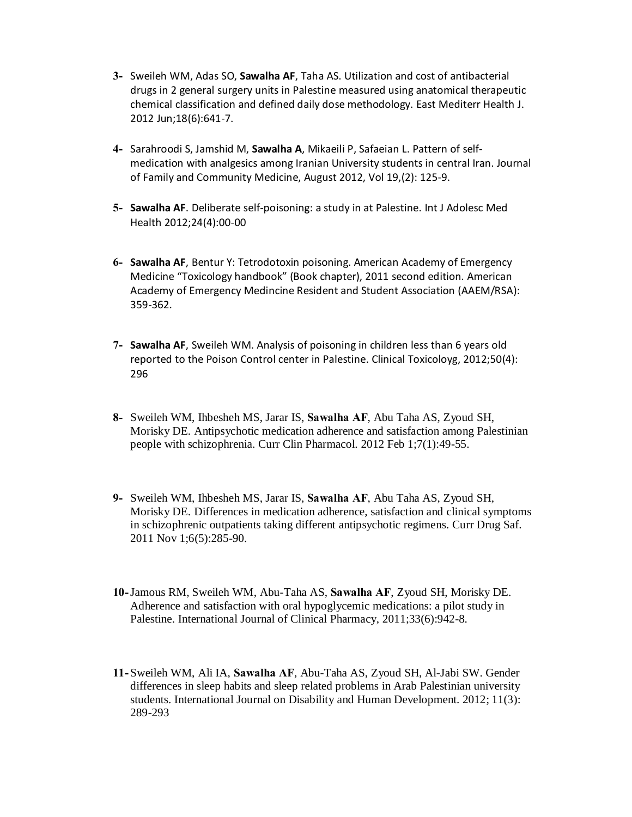- **3-** Sweileh WM, Adas SO, **Sawalha AF**, Taha A[S. Utilization and cost of antibacterial](http://www.ncbi.nlm.nih.gov/pubmed/22888623)  [drugs in 2 general surgery units in Palestine measured using anatomical therapeutic](http://www.ncbi.nlm.nih.gov/pubmed/22888623)  [chemical classification and defined daily dose methodology.](http://www.ncbi.nlm.nih.gov/pubmed/22888623) East Mediterr Health J. 2012 Jun;18(6):641-7.
- **4-** Sarahroodi S, Jamshid M, **Sawalha A**, Mikaeili P, Safaeian L. Pattern of selfmedication with analgesics among Iranian University students in central Iran. Journal of Family and Community Medicine, August 2012, Vol 19,(2): 125-9.
- **5- Sawalha AF**. Deliberate self-poisoning: a study in at Palestine. Int J Adolesc Med Health 2012;24(4):00-00
- **6- Sawalha AF**, Bentur Y: Tetrodotoxin poisoning. American Academy of Emergency Medicine "Toxicology handbook" (Book chapter), 2011 second edition. American Academy of Emergency Medincine Resident and Student Association (AAEM/RSA): 359-362.
- **7- Sawalha AF**, Sweileh WM. Analysis of poisoning in children less than 6 years old reported to the Poison Control center in Palestine. Clinical Toxicoloyg, 2012;50(4): 296
- **8-** Sweileh WM, Ihbesheh MS, Jarar IS, **Sawalha AF**, Abu Taha AS, Zyoud SH, Morisky DE. Antipsychotic medication adherence and satisfaction among Palestinian people with schizophrenia. Curr Clin Pharmacol. 2012 Feb 1;7(1):49-55.
- **9-** Sweileh WM, Ihbesheh MS, Jarar IS, **Sawalha AF**, Abu Taha AS, Zyoud SH, Morisky DE. Differences in medication adherence, satisfaction and clinical symptoms in schizophrenic outpatients taking different antipsychotic regimens. Curr Drug Saf. 2011 Nov [1;6\(5\):285-90.](http://www.ncbi.nlm.nih.gov/pubmed/22424535)
- **10-**Jamous RM, Sweileh WM, Abu-Taha AS, **Sawalha AF**, Zyoud SH, Morisky DE. Adherence and satisfaction with oral hypoglycemic medications: a pilot study in Palestine. International Journal of Clinical Pharmacy, 2011;33(6):942-8.
- **11-**Sweileh WM, Ali IA, **Sawalha AF**, Abu-Taha AS, Zyoud SH, Al-Jabi SW. Gender differences in sleep habits and sleep related problems in Arab Palestinian university students. International Journal on Disability and Human Development. 2012; 11(3): 289-293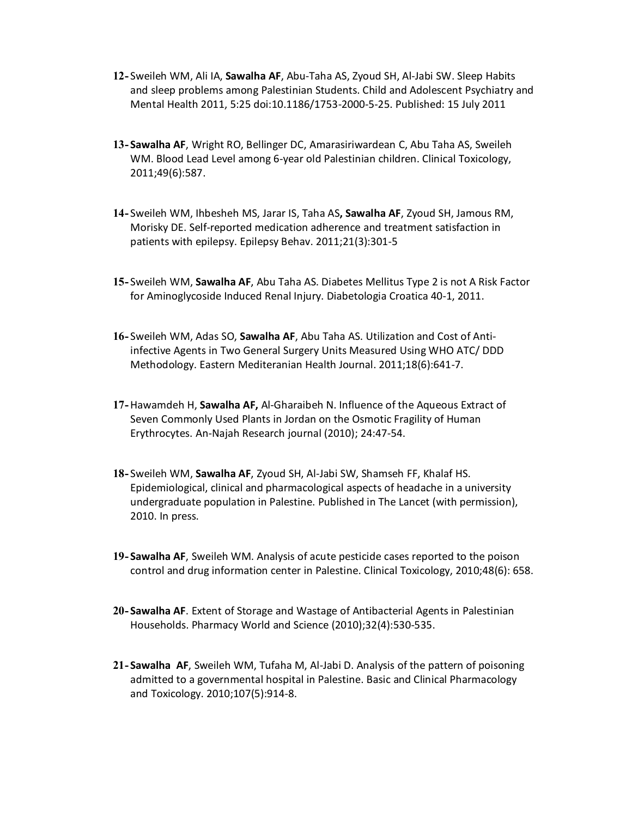- **12-** Sweileh WM, Ali IA, **Sawalha AF**, Abu-Taha AS, Zyoud SH, Al-Jabi SW. Sleep Habits and sleep problems among Palestinian Students. Child and Adolescent Psychiatry and Mental Health 2011, 5:25 doi:10.1186/1753-2000-5-25. Published: 15 July 2011
- **13- Sawalha AF**, Wright RO, Bellinger DC, Amarasiriwardean C, Abu Taha AS, Sweileh WM. Blood Lead Level among 6-year old Palestinian children. Clinical Toxicology, 2011;49(6):587.
- **14-** Sweileh WM, Ihbesheh MS, Jarar IS, Taha AS**, Sawalha AF**, Zyoud SH, Jamous RM, Morisky DE. Self-reported medication adherence and treatment satisfaction in patients with epilepsy. [Epilepsy Behav. 2011;21\(3\):301-5](http://www.ncbi.nlm.nih.gov/pubmed/21576040)
- **15-** Sweileh WM, **Sawalha AF**, Abu Taha AS. Diabetes Mellitus Type 2 is not A Risk Factor for Aminoglycoside Induced Renal Injury. Diabetologia Croatica 40-1, 2011.
- **16-** Sweileh WM, Adas SO, **Sawalha AF**, Abu Taha AS. Utilization and Cost of Antiinfective Agents in Two General Surgery Units Measured Using WHO ATC/ DDD Methodology. Eastern Mediteranian Health Journal. 2011;18(6):641-7.
- **17-**Hawamdeh H, **Sawalha AF,** Al-Gharaibeh N. Influence of the Aqueous Extract of Seven Commonly Used Plants in Jordan on the Osmotic Fragility of Human Erythrocytes. An-Najah Research journal (2010); 24:47-54.
- **18-** Sweileh WM, **Sawalha AF**, Zyoud SH, Al-Jabi SW, Shamseh FF, Khalaf HS. Epidemiological, clinical and pharmacological aspects of headache in a university [undergra](http://www.ncbi.nlm.nih.gov/sites/entrez?Db=pubmed&Cmd=Search&Term=%22Sweileh%20WM%22%5BAuthor%5D&itool=EntrezSystem2.PEntrez.Pubmed.Pubmed_ResultsPanel.Pubmed_DiscoveryPanel.Pubmed_RVAbstractPlus)[duate populat](http://www.ncbi.nlm.nih.gov/sites/entrez?Db=pubmed&Cmd=Search&Term=%22Sawalha%20AF%22%5BAuthor%5D&itool=EntrezSystem2.PEntrez.Pubmed.Pubmed_ResultsPanel.Pubmed_DiscoveryPanel.Pubmed_RVAbstractPlus)i[on in Pales](http://www.ncbi.nlm.nih.gov/sites/entrez?Db=pubmed&Cmd=Search&Term=%22Zyoud%20SH%22%5BAuthor%5D&itool=EntrezSystem2.PEntrez.Pubmed.Pubmed_ResultsPanel.Pubmed_DiscoveryPanel.Pubmed_RVAbstractPlus)[tine. Publish](http://www.ncbi.nlm.nih.gov/sites/entrez?Db=pubmed&Cmd=Search&Term=%22Al-Jabi%20SW%22%5BAuthor%5D&itool=EntrezSystem2.PEntrez.Pubmed.Pubmed_ResultsPanel.Pubmed_DiscoveryPanel.Pubmed_RVAbstractPlus)[ed in The Lan](http://www.ncbi.nlm.nih.gov/sites/entrez?Db=pubmed&Cmd=Search&Term=%22Shamseh%20FF%22%5BAuthor%5D&itool=EntrezSystem2.PEntrez.Pubmed.Pubmed_ResultsPanel.Pubmed_DiscoveryPanel.Pubmed_RVAbstractPlus)c[et \(with pe](http://www.ncbi.nlm.nih.gov/sites/entrez?Db=pubmed&Cmd=Search&Term=%22Khalaf%20HS%22%5BAuthor%5D&itool=EntrezSystem2.PEntrez.Pubmed.Pubmed_ResultsPanel.Pubmed_DiscoveryPanel.Pubmed_RVAbstractPlus)rmission), 2010. In press.
- **19- Sawalha AF**, Sweileh WM. Analysis of acute pesticide cases reported to the poison control and drug information center in Palestine. Clinical Toxicology, 2010;48(6): 658.
- **20- Sawalha AF**. Extent of Storage and Wastage of Antibacterial Agents in Palestinian Households. Pharmacy World and Science (2010);32(4):530-535.
- **21- Sawalha AF**, Sweileh WM, Tufaha M, Al-Jabi D. [Analy](http://www.springerlink.com/content/0928-1231/32/4/)sis of the pattern of poisoning admitted to a governmental hospital in Palestine. Basic and Clinical Pharmacology and Toxicology. 2010;107(5):914-8.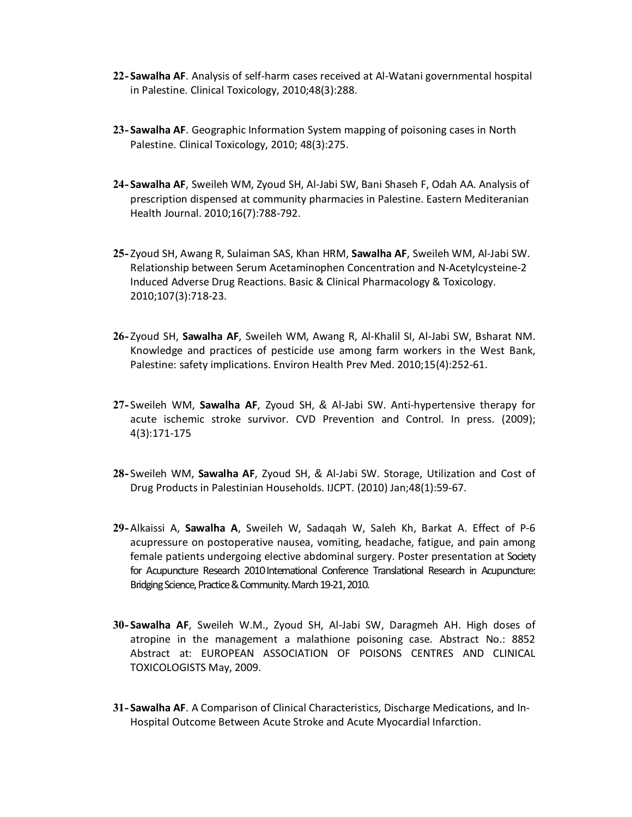- **22- Sawalha AF**. Analysis of self-harm cases received at Al-Watani governmental hospital in Palestine. Clinical Toxicology, 2010;48(3):288.
- **23- Sawalha AF**. Geographic Information System mapping of poisoning cases in North Palestine. Clinical Toxicology, 2010; 48(3):275.
- **24- Sawalha AF**, Sweileh WM, Zyoud SH, Al-Jabi SW, Bani Shaseh F, Odah AA. Analysis of prescription dispensed at community pharmacies in Palestine. Eastern Mediteranian Health Journal. 2010;16(7):788-792.
- **25-** Zyoud SH, Awang R, Sulaiman SAS, Khan HRM, **Sawalha AF**, Sweileh WM, Al-Jabi SW. Relationship between Serum Acetaminophen Concentration and N-Acetylcysteine-2 Induced Adverse Drug Reactions. Basic & Clinical Pharmacology & Toxicology. 2010;107(3):718-23.
- **26-** Zyoud SH, **Sawalha AF**, Sweileh WM, Awang R, Al-Khalil SI, Al-Jabi SW, Bsharat NM. Knowledge and practices of pesticide use among farm workers in the West Bank, Palestine: safety implications. Environ Health Prev Med. 2010;15(4):252-61.
- **27-** Sweileh WM, **Sawalha AF**, Zyoud SH, & Al-Jabi SW. Anti-hypertensive therapy for acute ischemic stroke survivor. CVD Prevention and Control. In press. (2009); 4(3):171-175
- **28-** Sweileh WM, **Sawalha AF**, Zyoud SH, & Al-Jabi SW. Storage, Utilization and Cost of Drug Products in Palestinian Households. IJCPT. (2010) Jan;48(1):59-67.
- **29-**Alkaissi A, **Sawalha A**, Sweileh W, Sadaqah W, Saleh Kh, Barkat A. Effect of P-6 acupressure on postoperative nausea, vomiting, headache, fatigue, and pain among female patients undergoing elective abdominal surgery. Poster presentation at Society for Acupuncture Research 2010 International Conference Translational Research in Acupuncture: Bridging Science, Practice & Community. March 19-21, 2010.
- **30- Sawalha AF**, Sweileh W.M., Zyoud SH, Al-Jabi SW, Daragmeh AH. High doses of atropine in the management a malathione poisoning case. Abstract No.: 8852 Abstract at: EUROPEAN ASSOCIATION OF POISONS CENTRES AND CLINICAL TOXICOLOGISTS May, 2009.
- **31- Sawalha AF**. A Comparison of Clinical Characteristics, Discharge Medications, and In-Hospital Outcome Between Acute Stroke and Acute Myocardial Infarction.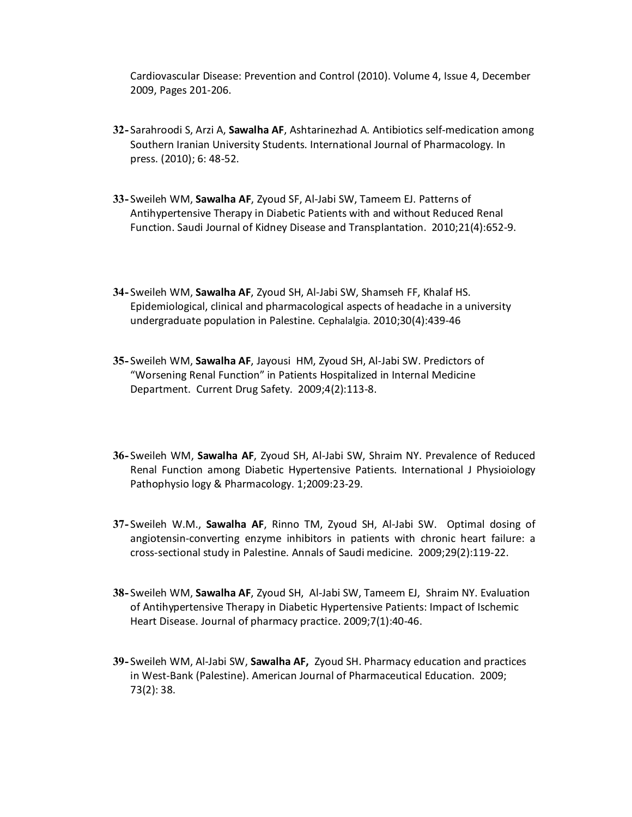Cardiovascular Disease: Prevention and Control (2010)[. Volume 4, Issue 4,](http://www.sciencedirect.com/science?_ob=PublicationURL&_tockey=%23TOC%2343705%232009%23999959995%231754129%23FLA%23&_cdi=43705&_pubType=J&view=c&_auth=y&_acct=C000059021&_version=1&_urlVersion=0&_userid=2873640&md5=4e57d5ab935643c9d9432f6b494a8123) December 2009, Pages 201-206.

- **32-** Sarahroodi S, Arzi A, **Sawalha AF**, Ashtarinezhad A. Antibiotics self-medication among Southern Iranian University Students. International Journal of Pharmacology. In press. (2010); 6: 48-52.
- **33-** Sweileh WM, **Sawalha AF**, Zyoud SF, Al-Jabi SW, Tameem EJ. Patterns of Antihypertensive Therapy in Diabetic Patients with and without Reduced Renal Function. Saudi Journal of Kidney Disease and Transplantation. 2010;21(4):652-9.
- **34-** Sweileh WM, **Sawalha AF**, Zyoud SH, Al-Jabi SW, Shamseh FF, Khalaf HS. [Epidemio](http://www.ncbi.nlm.nih.gov/sites/entrez?Db=pubmed&Cmd=Search&Term=%22Sweileh%20WM%22%5BAuthor%5D&itool=EntrezSystem2.PEntrez.Pubmed.Pubmed_ResultsPanel.Pubmed_DiscoveryPanel.Pubmed_RVAbstractPlus)l[ogical, clinica](http://www.ncbi.nlm.nih.gov/sites/entrez?Db=pubmed&Cmd=Search&Term=%22Sawalha%20AF%22%5BAuthor%5D&itool=EntrezSystem2.PEntrez.Pubmed.Pubmed_ResultsPanel.Pubmed_DiscoveryPanel.Pubmed_RVAbstractPlus)l [and pharm](http://www.ncbi.nlm.nih.gov/sites/entrez?Db=pubmed&Cmd=Search&Term=%22Zyoud%20SH%22%5BAuthor%5D&itool=EntrezSystem2.PEntrez.Pubmed.Pubmed_ResultsPanel.Pubmed_DiscoveryPanel.Pubmed_RVAbstractPlus)[acological a](http://www.ncbi.nlm.nih.gov/sites/entrez?Db=pubmed&Cmd=Search&Term=%22Al-Jabi%20SW%22%5BAuthor%5D&itool=EntrezSystem2.PEntrez.Pubmed.Pubmed_ResultsPanel.Pubmed_DiscoveryPanel.Pubmed_RVAbstractPlus)[spects of head](http://www.ncbi.nlm.nih.gov/sites/entrez?Db=pubmed&Cmd=Search&Term=%22Shamseh%20FF%22%5BAuthor%5D&itool=EntrezSystem2.PEntrez.Pubmed.Pubmed_ResultsPanel.Pubmed_DiscoveryPanel.Pubmed_RVAbstractPlus)[ache in a u](http://www.ncbi.nlm.nih.gov/sites/entrez?Db=pubmed&Cmd=Search&Term=%22Khalaf%20HS%22%5BAuthor%5D&itool=EntrezSystem2.PEntrez.Pubmed.Pubmed_ResultsPanel.Pubmed_DiscoveryPanel.Pubmed_RVAbstractPlus)niversity undergraduate population in Palestine. Cephalalgia. 2010;30(4):439-46
- **35-** Sweileh WM, **Sawalha AF**, Jayousi HM, Zyoud SH, Al-Jabi SW. Predictors of "[Worseni](http://www.ncbi.nlm.nih.gov/entrez/query.fcgi?db=pubmed&cmd=Search&itool=pubmed_AbstractPlus&term=%22Sweileh+WM%22%5BAuthor%5D)[ng Renal Func](http://www.ncbi.nlm.nih.gov/entrez/query.fcgi?db=pubmed&cmd=Search&itool=pubmed_AbstractPlus&term=%22Sawalha+AF%22%5BAuthor%5D)tion" in Patien[ts Hospital](http://www.ncbi.nlm.nih.gov/entrez/query.fcgi?db=pubmed&cmd=Search&itool=pubmed_AbstractPlus&term=%22Zyoud+SH%22%5BAuthor%5D)i[zed in Intern](http://www.ncbi.nlm.nih.gov/entrez/query.fcgi?db=pubmed&cmd=Search&itool=pubmed_AbstractPlus&term=%22Al%2DJabi+SW%22%5BAuthor%5D)al Medicine Department. Current Drug Safety. 2009;4(2):113-8.
- **36-** Sweileh WM, **Sawalha AF**, Zyoud SH, Al-Jabi SW, Shraim NY. Prevalence of Reduced Renal Function among Diabetic Hypertensive Patients. International J Physioiology Pathophysio logy & Pharmacology. 1;2009:23-29.
- **37-** Sweileh W.M., **Sawalha AF**, Rinno TM, Zyoud SH, Al-Jabi SW. Optimal dosing of angiotensin-converting enzyme inhibitors in patients with chronic heart failure: a cross-sectional study in Palestine. Annals of Saudi medicine. 2009;29(2):119-22.
- **38-** Sweileh WM, **Sawalha AF**, Zyoud SH, Al-Jabi SW, Tameem EJ, Shraim NY. Evaluation of Antihypertensive Therapy in Diabetic Hypertensive Patients: Impact of Ischemic Heart Disease. Journal of pharmacy practice. 2009;7(1):40-46.
- **39-** Sweileh WM, Al-Jabi SW, **Sawalha AF,** Zyoud SH. Pharmacy education and practices in West-Bank (Palestine). American Journal of Pharmaceutical Education. 2009; 73(2): 38.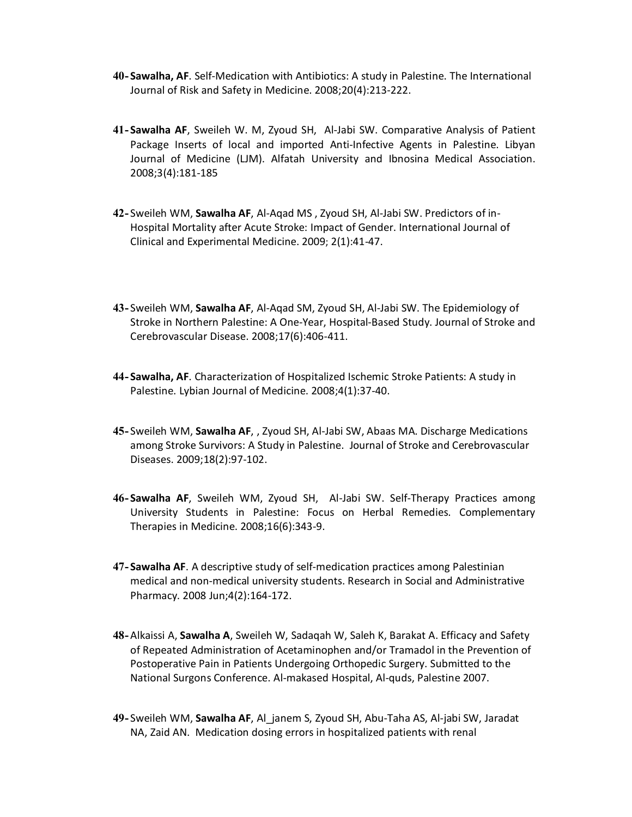- **40- Sawalha, AF**. Self-Medication with Antibiotics: A study in Palestine. The International Journal of Risk and Safety in Medicine. 2008;20(4):213-222.
- **41- Sawalha AF**, Sweileh W. M, Zyoud SH, Al-Jabi SW. Comparative Analysis of Patient Package Inserts of local and imported Anti-Infective Agents in Palestine. Libyan Journal of Medicine (LJM). Alfatah University and Ibnosina Medical Association. 2008;3(4):181-185
- **42-** Sweileh WM, **Sawalha AF**, Al-Aqad MS , Zyoud SH, Al-Jabi SW. Predictors of in-[Hospital](http://www.ncbi.nlm.nih.gov/entrez/query.fcgi?db=pubmed&cmd=Search&itool=pubmed_AbstractPlus&term=%22Sweileh+WM%22%5BAuthor%5D) [Mortality after](http://www.ncbi.nlm.nih.gov/entrez/query.fcgi?db=pubmed&cmd=Search&itool=pubmed_AbstractPlus&term=%22Sawalha+AF%22%5BAuthor%5D) Acute Stroke: [Impact of](http://www.ncbi.nlm.nih.gov/entrez/query.fcgi?db=pubmed&cmd=Search&itool=pubmed_AbstractPlus&term=%22Zyoud+SH%22%5BAuthor%5D) [Gender. Inter](http://www.ncbi.nlm.nih.gov/entrez/query.fcgi?db=pubmed&cmd=Search&itool=pubmed_AbstractPlus&term=%22Al%2DJabi+SW%22%5BAuthor%5D)national Journal of Clinical and Experimental Medicine. 2009; 2(1):41-47.
- **43-** Sweileh WM, **Sawalha AF**, Al-Aqad SM, Zyoud SH, Al-Jabi SW. The Epidemiology of Stroke in Northern Palestine: A One-Year, Hospital-Based Study. Journal of Stroke and Cerebrovascular Disease. 2008;17(6):406-411.
- **44- Sawalha, AF**. Characterization of Hospitalized Ischemic Stroke Patients: A study in Palestine. Lybian Journal of Medicine. 2008;4(1):37-40.
- **45-** Sweileh WM, **Sawalha AF**, , Zyoud SH, Al-Jabi SW, Abaas MA. Discharge Medications among Stroke Survivors: A Study in [Palestine. Jo](http://www.ncbi.nlm.nih.gov/entrez/query.fcgi?db=pubmed&cmd=Search&itool=pubmed_AbstractPlus&term=%22Al%2DJabi+SW%22%5BAuthor%5D)urnal of Stroke and Cerebrovascular [Diseases.](http://www.ncbi.nlm.nih.gov/entrez/query.fcgi?db=pubmed&cmd=Search&itool=pubmed_AbstractPlus&term=%22Sweileh+WM%22%5BAuthor%5D) [2009;18\(2\):97](http://www.ncbi.nlm.nih.gov/entrez/query.fcgi?db=pubmed&cmd=Search&itool=pubmed_AbstractPlus&term=%22Sawalha+AF%22%5BAuthor%5D)-[102.](http://www.ncbi.nlm.nih.gov/entrez/query.fcgi?db=pubmed&cmd=Search&itool=pubmed_AbstractPlus&term=%22Zyoud+SH%22%5BAuthor%5D)
- **46- Sawalha AF**, Sweileh WM, Zyoud SH, Al-Jabi SW. Self-Therapy Practices among University Students in Palestine: Focus on Herbal Remedies. Complementary Therapies in Medicine. 2008;16(6):343-9.
- **47- Sawalha AF**. A descriptive study of self-medication practices among Palestinian medical and non-medical university students. Research in Social and Administrative Pharmacy. 2008 Jun;4(2):164-172.
- **48-**Alkaissi A, **Sawalha A**, Sweileh W, Sadaqah W, Saleh K, Barakat A. Efficacy and Safety of Repeated Administration of Acetaminophen and/or Tramadol in the Prevention of Postoperative Pain in Patients Undergoing Orthopedic Surgery. Submitted to the National Surgons Conference. Al-makased Hospital, Al-quds, Palestine 2007.
- **49-** Sweileh WM, **Sawalha AF**, Al\_janem S, Zyoud SH, Abu-Taha AS, Al-jabi SW, Jaradat NA, Zaid AN. Medication dosing errors in hospitalized patients with renal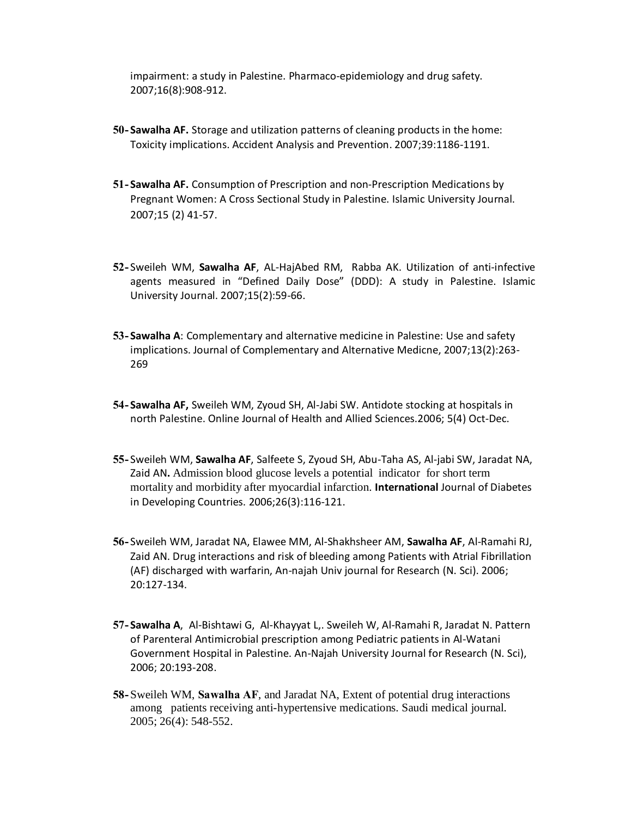impairment: a study in Palestine. Pharmaco-epidemiology and drug safety. 2007;16(8):908-912.

- **50- Sawalha AF.** Storage and utilization patterns of cleaning products in the home: Toxicity implications. Accident Analysis and Prevention. 2007;39:1186-1191.
- **51- Sawalha AF.** Consumption of Prescription and non-Prescription Medications by Pregnant Women: A Cross Sectional Study in Palestine. Islamic University Journal. 2007;15 (2) 41-57.
- **52-** Sweileh WM, **Sawalha AF**, AL-HajAbed RM, Rabba AK. Utilization of anti-infective agents measured in "Defined Daily Dose" (DDD): A study in Palestine. Islamic University Journal. 2007;15(2):59-66.
- **53- Sawalha A**: Complementary and alternative medicine in Palestine: Use and safety implications. Journal of Complementary and Alternative Medicne, 2007;13(2):263- 269
- **54- Sawalha AF,** Sweileh WM, Zyoud SH, Al-Jabi SW. Antidote stocking at hospitals in north Palestine. Online Journal of Health and Allied Sciences.2006; 5(4) Oct-Dec.
- **55-** Sweileh WM, **Sawalha AF**, Salfeete S, Zyoud SH, Abu-Taha AS, Al-jabi SW, Jaradat NA, Zaid AN**.** Admission blood glucose levels a potential indicator for short term mortality and morbidity after myocardial infarction. **International** Journal of Diabetes in Developing Countries. 2006;26(3):116-121.
- **56-** Sweileh WM, Jaradat NA, Elawee MM, Al-Shakhsheer AM, **Sawalha AF**, Al-Ramahi RJ, Zaid AN. Drug interactions and risk of bleeding among Patients with Atrial Fibrillation (AF) discharged with warfarin, An-najah Univ journal for Research (N. Sci). 2006; 20:127-134.
- **57- Sawalha A**, Al-Bishtawi G, Al-Khayyat L,. Sweileh W, Al-Ramahi R, Jaradat N. Pattern of Parenteral Antimicrobial prescription among Pediatric patients in Al-Watani Government Hospital in Palestine. An-Najah University Journal for Research (N. Sci), 2006; 20:193-208.
- **58-**Sweileh WM, **Sawalha AF**, and Jaradat NA, Extent of potential drug interactions among patients receiving anti-hypertensive medications. Saudi medical journal. 2005; 26(4): 548-552.